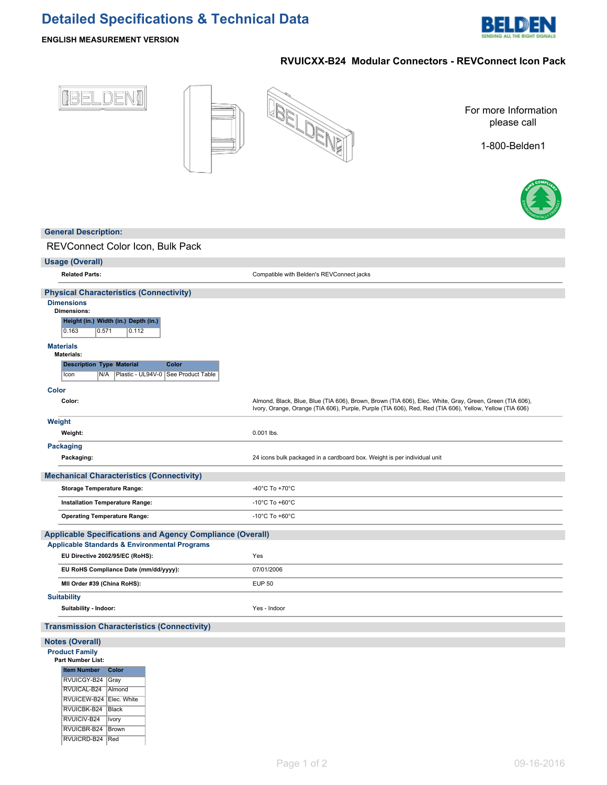# **Detailed Specifications & Technical Data**



# **ENGLISH MEASUREMENT VERSION**

RVUICEW-B24 | Elec. White RVUICBK-B24 Black  $\sqrt{\mathsf{RVUICIV-B24}}$  | Ivory RVUICBR-B24 Brown RVUICRD-B24 Red

# **RVUICXX-B24 Modular Connectors - REVConnect Icon Pack**



| <b>General Description:</b>                                                                                |                                                                                                                                                                                                                    |
|------------------------------------------------------------------------------------------------------------|--------------------------------------------------------------------------------------------------------------------------------------------------------------------------------------------------------------------|
| REVConnect Color Icon, Bulk Pack                                                                           |                                                                                                                                                                                                                    |
|                                                                                                            |                                                                                                                                                                                                                    |
| <b>Usage (Overall)</b><br><b>Related Parts:</b>                                                            | Compatible with Belden's REVConnect jacks                                                                                                                                                                          |
|                                                                                                            |                                                                                                                                                                                                                    |
| <b>Physical Characteristics (Connectivity)</b>                                                             |                                                                                                                                                                                                                    |
| <b>Dimensions</b><br><b>Dimensions:</b><br>Height (in.) Width (in.) Depth (in.)<br>0.163<br>0.112<br>0.571 |                                                                                                                                                                                                                    |
| <b>Materials</b><br><b>Materials:</b>                                                                      |                                                                                                                                                                                                                    |
| <b>Description Type Material</b><br>Color<br>Icon<br>N/A<br>Plastic - UL94V-0   See Product Table          |                                                                                                                                                                                                                    |
| Color                                                                                                      |                                                                                                                                                                                                                    |
| Color:                                                                                                     | Almond, Black, Blue, Blue (TIA 606), Brown, Brown (TIA 606), Elec. White, Gray, Green, Green (TIA 606),<br>Ivory, Orange, Orange (TIA 606), Purple, Purple (TIA 606), Red, Red (TIA 606), Yellow, Yellow (TIA 606) |
| Weight                                                                                                     |                                                                                                                                                                                                                    |
| Weight:                                                                                                    | 0.001 lbs.                                                                                                                                                                                                         |
| <b>Packaging</b>                                                                                           |                                                                                                                                                                                                                    |
| Packaging:                                                                                                 | 24 icons bulk packaged in a cardboard box. Weight is per individual unit                                                                                                                                           |
| <b>Mechanical Characteristics (Connectivity)</b>                                                           |                                                                                                                                                                                                                    |
| <b>Storage Temperature Range:</b>                                                                          | -40 $^{\circ}$ C To +70 $^{\circ}$ C                                                                                                                                                                               |
| Installation Temperature Range:                                                                            | -10 $^{\circ}$ C To +60 $^{\circ}$ C                                                                                                                                                                               |
| <b>Operating Temperature Range:</b>                                                                        | -10 $^{\circ}$ C To +60 $^{\circ}$ C                                                                                                                                                                               |
| <b>Applicable Specifications and Agency Compliance (Overall)</b>                                           |                                                                                                                                                                                                                    |
| <b>Applicable Standards &amp; Environmental Programs</b>                                                   |                                                                                                                                                                                                                    |
| EU Directive 2002/95/EC (RoHS):                                                                            | Yes                                                                                                                                                                                                                |
| EU RoHS Compliance Date (mm/dd/yyyy):                                                                      | 07/01/2006                                                                                                                                                                                                         |
| MII Order #39 (China RoHS):                                                                                | <b>EUP 50</b>                                                                                                                                                                                                      |
| <b>Suitability</b>                                                                                         |                                                                                                                                                                                                                    |
| Suitability - Indoor:                                                                                      | Yes - Indoor                                                                                                                                                                                                       |
| <b>Transmission Characteristics (Connectivity)</b>                                                         |                                                                                                                                                                                                                    |
| <b>Notes (Overall)</b>                                                                                     |                                                                                                                                                                                                                    |
| <b>Product Family</b><br><b>Part Number List:</b>                                                          |                                                                                                                                                                                                                    |
| <b>Item Number</b><br>Color<br>RVUICGY-B24 Gray<br>RVUICAL-B24   Almond                                    |                                                                                                                                                                                                                    |